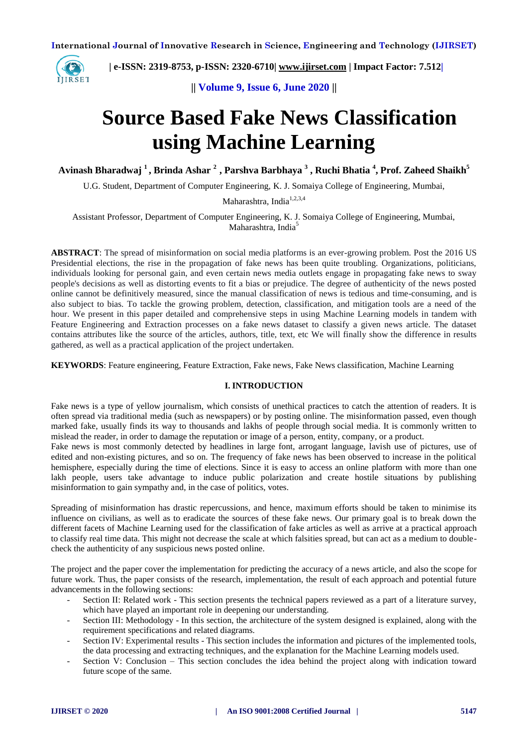

 **| e-ISSN: 2319-8753, p-ISSN: 2320-6710| [www.ijirset.com](http://www.ijirset.com/) | Impact Factor: 7.512|**

**|| Volume 9, Issue 6, June 2020 ||** 

# **Source Based Fake News Classification using Machine Learning**

**Avinash Bharadwaj <sup>1</sup>, Brinda Ashar <sup>2</sup>, Parshva Barbhaya <sup>3</sup> , Ruchi Bhatia <sup>4</sup> , Prof. Zaheed Shaikh<sup>5</sup>**

U.G. Student, Department of Computer Engineering, K. J. Somaiya College of Engineering, Mumbai,

Maharashtra, India<sup>1,2,3,4</sup>

Assistant Professor, Department of Computer Engineering, K. J. Somaiya College of Engineering, Mumbai, Maharashtra, India<sup>5</sup>

**ABSTRACT**: The spread of misinformation on social media platforms is an ever-growing problem. Post the 2016 US Presidential elections, the rise in the propagation of fake news has been quite troubling. Organizations, politicians, individuals looking for personal gain, and even certain news media outlets engage in propagating fake news to sway people's decisions as well as distorting events to fit a bias or prejudice. The degree of authenticity of the news posted online cannot be definitively measured, since the manual classification of news is tedious and time-consuming, and is also subject to bias. To tackle the growing problem, detection, classification, and mitigation tools are a need of the hour. We present in this paper detailed and comprehensive steps in using Machine Learning models in tandem with Feature Engineering and Extraction processes on a fake news dataset to classify a given news article. The dataset contains attributes like the source of the articles, authors, title, text, etc We will finally show the difference in results gathered, as well as a practical application of the project undertaken.

**KEYWORDS**: Feature engineering, Feature Extraction, Fake news, Fake News classification, Machine Learning

#### **I. INTRODUCTION**

Fake news is a type of yellow journalism, which consists of unethical practices to catch the attention of readers. It is often spread via traditional media (such as newspapers) or by posting online. The misinformation passed, even though marked fake, usually finds its way to thousands and lakhs of people through social media. It is commonly written to mislead the reader, in order to damage the reputation or image of a person, entity, company, or a product.

Fake news is most commonly detected by headlines in large font, arrogant language, lavish use of pictures, use of edited and non-existing pictures, and so on. The frequency of fake news has been observed to increase in the political hemisphere, especially during the time of elections. Since it is easy to access an online platform with more than one lakh people, users take advantage to induce public polarization and create hostile situations by publishing misinformation to gain sympathy and, in the case of politics, votes.

Spreading of misinformation has drastic repercussions, and hence, maximum efforts should be taken to minimise its influence on civilians, as well as to eradicate the sources of these fake news. Our primary goal is to break down the different facets of Machine Learning used for the classification of fake articles as well as arrive at a practical approach to classify real time data. This might not decrease the scale at which falsities spread, but can act as a medium to doublecheck the authenticity of any suspicious news posted online.

The project and the paper cover the implementation for predicting the accuracy of a news article, and also the scope for future work. Thus, the paper consists of the research, implementation, the result of each approach and potential future advancements in the following sections:

- Section II: Related work This section presents the technical papers reviewed as a part of a literature survey, which have played an important role in deepening our understanding.
- Section III: Methodology In this section, the architecture of the system designed is explained, along with the requirement specifications and related diagrams.
- Section IV: Experimental results This section includes the information and pictures of the implemented tools, the data processing and extracting techniques, and the explanation for the Machine Learning models used.
- Section V: Conclusion This section concludes the idea behind the project along with indication toward future scope of the same.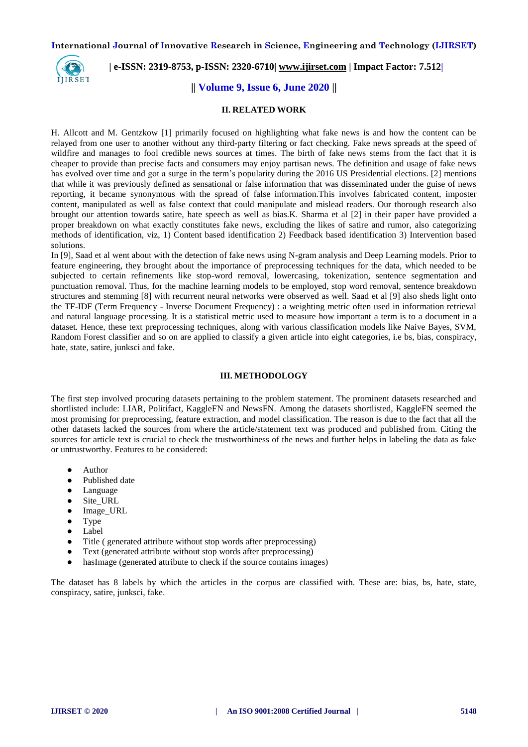

# **| e-ISSN: 2319-8753, p-ISSN: 2320-6710| [www.ijirset.com](http://www.ijirset.com/) | Impact Factor: 7.512|**

### **|| Volume 9, Issue 6, June 2020 ||**

#### **II. RELATED WORK**

H. Allcott and M. Gentzkow [1] primarily focused on highlighting what fake news is and how the content can be relayed from one user to another without any third-party filtering or fact checking. Fake news spreads at the speed of wildfire and manages to fool credible news sources at times. The birth of fake news stems from the fact that it is cheaper to provide than precise facts and consumers may enjoy partisan news. The definition and usage of fake news has evolved over time and got a surge in the term's popularity during the 2016 US Presidential elections. [2] mentions that while it was previously defined as sensational or false information that was disseminated under the guise of news reporting, it became synonymous with the spread of false information.This involves fabricated content, imposter content, manipulated as well as false context that could manipulate and mislead readers. Our thorough research also brought our attention towards satire, hate speech as well as bias.K. Sharma et al [2] in their paper have provided a proper breakdown on what exactly constitutes fake news, excluding the likes of satire and rumor, also categorizing methods of identification, viz, 1) Content based identification 2) Feedback based identification 3) Intervention based solutions.

In [9], Saad et al went about with the detection of fake news using N-gram analysis and Deep Learning models. Prior to feature engineering, they brought about the importance of preprocessing techniques for the data, which needed to be subjected to certain refinements like stop-word removal, lowercasing, tokenization, sentence segmentation and punctuation removal. Thus, for the machine learning models to be employed, stop word removal, sentence breakdown structures and stemming [8] with recurrent neural networks were observed as well. Saad et al [9] also sheds light onto the TF-IDF (Term Frequency - Inverse Document Frequency) : a weighting metric often used in information retrieval and natural language processing. It is a statistical metric used to measure how important a term is to a document in a dataset. Hence, these text preprocessing techniques, along with various classification models like Naive Bayes, SVM, Random Forest classifier and so on are applied to classify a given article into eight categories, i.e bs, bias, conspiracy, hate, state, satire, junksci and fake.

#### **III. METHODOLOGY**

The first step involved procuring datasets pertaining to the problem statement. The prominent datasets researched and shortlisted include: LIAR, Politifact, KaggleFN and NewsFN. Among the datasets shortlisted, KaggleFN seemed the most promising for preprocessing, feature extraction, and model classification. The reason is due to the fact that all the other datasets lacked the sources from where the article/statement text was produced and published from. Citing the sources for article text is crucial to check the trustworthiness of the news and further helps in labeling the data as fake or untrustworthy. Features to be considered:

- Author
- Published date
- Language
- Site\_URL
- Image\_URL
- Type
- Label
- Title ( generated attribute without stop words after preprocessing)
- Text (generated attribute without stop words after preprocessing)
- hasImage (generated attribute to check if the source contains images)

The dataset has 8 labels by which the articles in the corpus are classified with. These are: bias, bs, hate, state, conspiracy, satire, junksci, fake.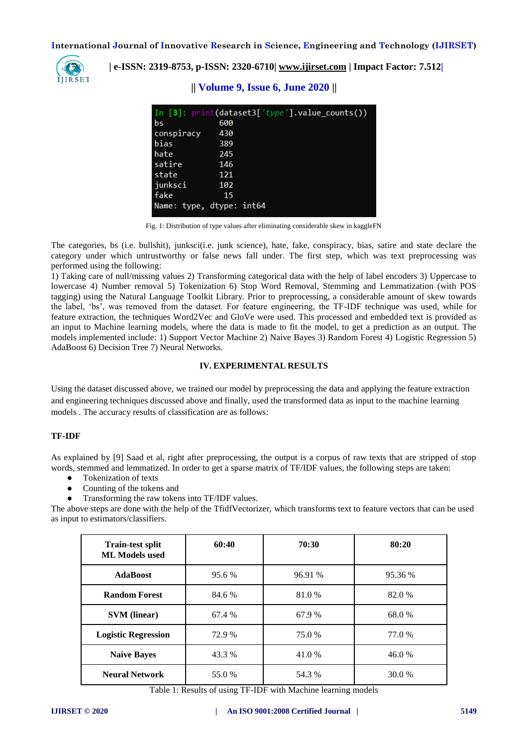

 **| e-ISSN: 2319-8753, p-ISSN: 2320-6710| [www.ijirset.com](http://www.ijirset.com/) | Impact Factor: 7.512|**

# **|| Volume 9, Issue 6, June 2020 ||**

|            | In [3]: print(dataset3['type'].value_counts()) |
|------------|------------------------------------------------|
| bs         | 600                                            |
| conspiracy | 430                                            |
| bias       | 389                                            |
| hate       | 245                                            |
| satire     | 146                                            |
| state      | 121                                            |
| junksci    | 102                                            |
| fake       | 15                                             |
|            | Name: type, dtype: int64                       |

Fig. 1: Distribution of type values after eliminating considerable skew in kaggleFN

The categories, bs (i.e. bullshit), junksci(i.e. junk science), hate, fake, conspiracy, bias, satire and state declare the category under which untrustworthy or false news fall under. The first step, which was text preprocessing was performed using the following:

1) Taking care of null/missing values 2) Transforming categorical data with the help of label encoders 3) Uppercase to lowercase 4) Number removal 5) Tokenization 6) Stop Word Removal, Stemming and Lemmatization (with POS tagging) using the Natural Language Toolkit Library. Prior to preprocessing, a considerable amount of skew towards the label, 'bs', was removed from the dataset. For feature engineering, the TF-IDF technique was used, while for feature extraction, the techniques Word2Vec and GloVe were used. This processed and embedded text is provided as an input to Machine learning models, where the data is made to fit the model, to get a prediction as an output. The models implemented include: 1) Support Vector Machine 2) Naive Bayes 3) Random Forest 4) Logistic Regression 5) AdaBoost 6) Decision Tree 7) Neural Networks.

#### **IV. EXPERIMENTAL RESULTS**

Using the dataset discussed above, we trained our model by preprocessing the data and applying the feature extraction and engineering techniques discussed above and finally, used the transformed data as input to the machine learning models . The accuracy results of classification are as follows:

#### **TF-IDF**

As explained by [9] Saad et al, right after preprocessing, the output is a corpus of raw texts that are stripped of stop words, stemmed and lemmatized. In order to get a sparse matrix of TF/IDF values, the following steps are taken:

- Tokenization of texts
- Counting of the tokens and
- Transforming the raw tokens into TF/IDF values.

The above steps are done with the help of the TfidfVectorizer, which transforms text to feature vectors that can be used as input to estimators/classifiers.

| <b>Train-test split</b><br><b>ML Models used</b> | 60:40  | 70:30   | 80:20   |
|--------------------------------------------------|--------|---------|---------|
| <b>AdaBoost</b>                                  | 95.6 % | 96.91 % | 95.36 % |
| <b>Random Forest</b>                             | 84.6 % | 81.0%   | 82.0 %  |
| <b>SVM</b> (linear)                              | 67.4 % | 67.9 %  | 68.0%   |
| <b>Logistic Regression</b>                       | 72.9 % | 75.0 %  | 77.0 %  |
| <b>Naive Bayes</b>                               | 43.3 % | 41.0 %  | 46.0%   |
| <b>Neural Network</b>                            | 55.0 % | 54.3 %  | 30.0 %  |

Table 1: Results of using TF-IDF with Machine learning models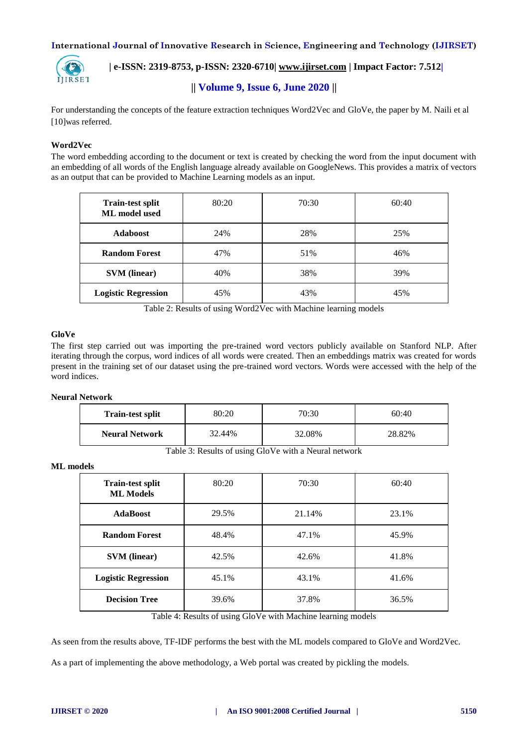

# **| e-ISSN: 2319-8753, p-ISSN: 2320-6710| [www.ijirset.com](http://www.ijirset.com/) | Impact Factor: 7.512|**

# **|| Volume 9, Issue 6, June 2020 ||**

For understanding the concepts of the feature extraction techniques Word2Vec and GloVe, the paper by M. Naili et al [10]was referred.

#### **Word2Vec**

The word embedding according to the document or text is created by checking the word from the input document with an embedding of all words of the English language already available on GoogleNews. This provides a matrix of vectors as an output that can be provided to Machine Learning models as an input.

| <b>Train-test split</b><br>ML model used | 80:20 | 70:30 | 60:40 |
|------------------------------------------|-------|-------|-------|
| <b>Adaboost</b>                          | 24%   | 28%   | 25%   |
| <b>Random Forest</b>                     | 47%   | 51%   | 46%   |
| <b>SVM</b> (linear)                      | 40%   | 38%   | 39%   |
| <b>Logistic Regression</b>               | 45%   | 43%   | 45%   |

Table 2: Results of using Word2Vec with Machine learning models

#### **GloVe**

The first step carried out was importing the pre-trained word vectors publicly available on Stanford NLP. After iterating through the corpus, word indices of all words were created. Then an embeddings matrix was created for words present in the training set of our dataset using the pre-trained word vectors. Words were accessed with the help of the word indices.

#### **Neural Network**

| 70:30<br>80:20<br><b>Train-test split</b> |        |
|-------------------------------------------|--------|
| 32.08%<br>32.44%<br><b>Neural Network</b> | 28.82% |

Table 3: Results of using GloVe with a Neural network

#### **ML models**

| <b>Train-test split</b><br><b>ML Models</b> | 80:20 | 70:30  | 60:40 |
|---------------------------------------------|-------|--------|-------|
| <b>AdaBoost</b>                             | 29.5% | 21.14% | 23.1% |
| <b>Random Forest</b>                        | 48.4% | 47.1%  | 45.9% |
| <b>SVM</b> (linear)                         | 42.5% | 42.6%  | 41.8% |
| <b>Logistic Regression</b>                  | 45.1% | 43.1%  | 41.6% |
| <b>Decision Tree</b>                        | 39.6% | 37.8%  | 36.5% |

Table 4: Results of using GloVe with Machine learning models

As seen from the results above, TF-IDF performs the best with the ML models compared to GloVe and Word2Vec.

As a part of implementing the above methodology, a Web portal was created by pickling the models.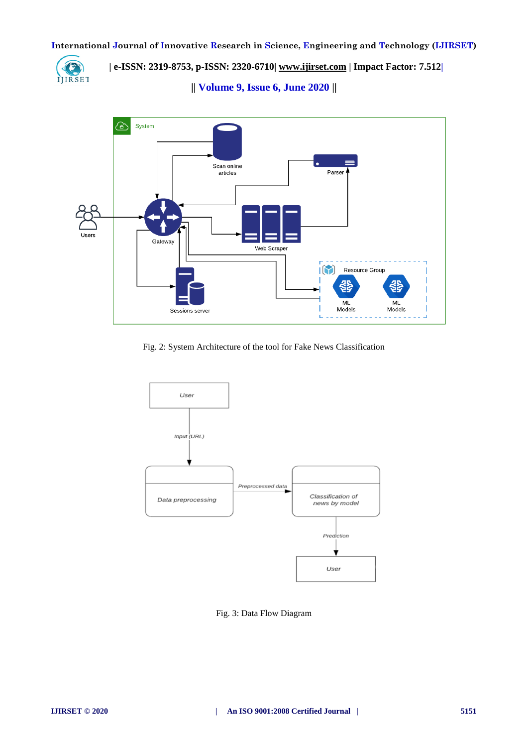

 **| e-ISSN: 2319-8753, p-ISSN: 2320-6710| [www.ijirset.com](http://www.ijirset.com/) | Impact Factor: 7.512|**

**|| Volume 9, Issue 6, June 2020 ||** 



Fig. 2: System Architecture of the tool for Fake News Classification



Fig. 3: Data Flow Diagram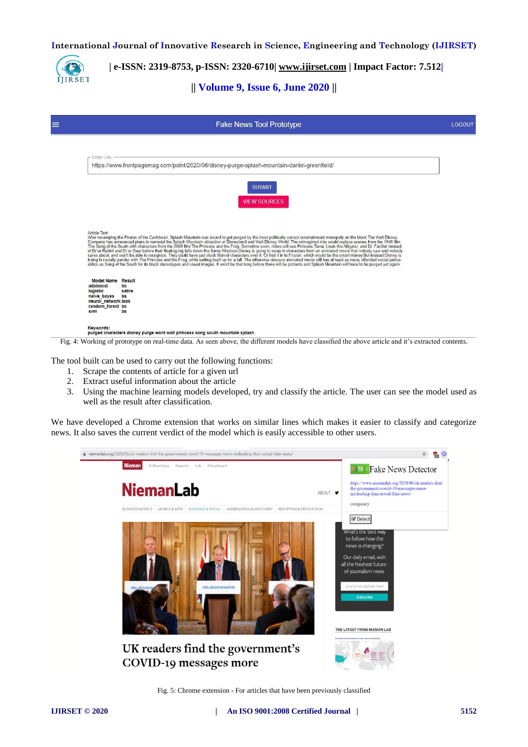IJIRSET

 **| e-ISSN: 2319-8753, p-ISSN: 2320-6710| [www.ijirset.com](http://www.ijirset.com/) | Impact Factor: 7.512|**

**|| Volume 9, Issue 6, June 2020 ||** 

|                                                                                                                   | <b>Fake News Tool Prototype</b>                                                                                                                                                                                                                                                                                                                                                                                                                                                                                                                                                                                                                                                                                                                                                                                                                       |  |
|-------------------------------------------------------------------------------------------------------------------|-------------------------------------------------------------------------------------------------------------------------------------------------------------------------------------------------------------------------------------------------------------------------------------------------------------------------------------------------------------------------------------------------------------------------------------------------------------------------------------------------------------------------------------------------------------------------------------------------------------------------------------------------------------------------------------------------------------------------------------------------------------------------------------------------------------------------------------------------------|--|
| <b>Enter URL</b>                                                                                                  |                                                                                                                                                                                                                                                                                                                                                                                                                                                                                                                                                                                                                                                                                                                                                                                                                                                       |  |
|                                                                                                                   | https://www.frontpagemag.com/point/2020/06/disney-purge-splash-mountain-daniel-greenfield/                                                                                                                                                                                                                                                                                                                                                                                                                                                                                                                                                                                                                                                                                                                                                            |  |
|                                                                                                                   | <b>SUBMIT</b><br><b>VIEW SOURCES</b>                                                                                                                                                                                                                                                                                                                                                                                                                                                                                                                                                                                                                                                                                                                                                                                                                  |  |
| Article Text:                                                                                                     | After revamping the Pirates of the Caribbean, Splash Mountain was bound to get purged by the most politically correct entertainment monopoly on the block.The Walt Disney<br>Company has announced plans to remodel the Splash Mo<br>of Brier Rabbit and Brier Bear before their floating log falls down the flume. Hilarious Disney is going to swap in characters from an animated movie that mobody saw and nobody<br>Cares about, and won't be able to recognize.<br>trying to racially pander with The Princess and the Frog, while setting itself up for a fall. The otherwise obscure animated movie still has at least as many offended social justice<br>critics as Song of the South for its black stereotypes and visual images. It won't be that long before there will be protests and Splash Mountain will have to be purged yet again. |  |
| <b>Model Name Result</b><br>adaboost<br>logistic<br>naive bayes<br>neural network bias<br>random forest bs<br>sym | bs<br>satire<br>bs<br>bs                                                                                                                                                                                                                                                                                                                                                                                                                                                                                                                                                                                                                                                                                                                                                                                                                              |  |
| Kevwords:                                                                                                         | purged characters disney purge wont walt princess song south mountain splash                                                                                                                                                                                                                                                                                                                                                                                                                                                                                                                                                                                                                                                                                                                                                                          |  |

The tool built can be used to carry out the following functions:

- 1. Scrape the contents of article for a given url
- 2. Extract useful information about the article
- 3. Using the machine learning models developed, try and classify the article. The user can see the model used as well as the result after classification.

We have developed a Chrome extension that works on similar lines which makes it easier to classify and categorize news. It also saves the current verdict of the model which is easily accessible to other users.



Fig. 5: Chrome extension - For articles that have been previously classified